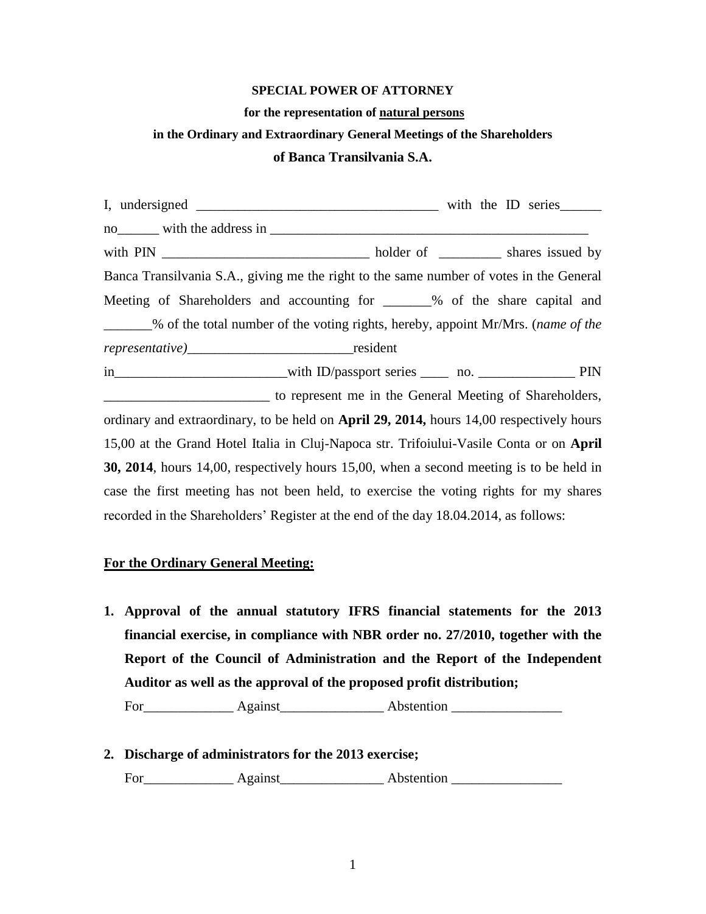#### **SPECIAL POWER OF ATTORNEY**

#### **for the representation of natural persons**

## **in the Ordinary and Extraordinary General Meetings of the Shareholders**

#### **of Banca Transilvania S.A.**

I, undersigned with the ID series no with the address in  $\blacksquare$ with PIN \_\_\_\_\_\_\_\_\_\_\_\_\_\_\_\_\_\_\_\_\_\_\_\_\_\_\_\_\_\_ holder of \_\_\_\_\_\_\_\_\_ shares issued by Banca Transilvania S.A., giving me the right to the same number of votes in the General Meeting of Shareholders and accounting for  $\%$  of the share capital and \_\_\_\_\_\_\_% of the total number of the voting rights, hereby, appoint Mr/Mrs. (*name of the representative)*\_\_\_\_\_\_\_\_\_\_\_\_\_\_\_\_\_\_\_\_\_\_\_\_resident in \_\_\_\_\_\_\_\_\_\_\_\_\_\_\_\_\_\_\_\_\_\_\_with ID/passport series \_\_\_\_ no. \_\_\_\_\_\_\_\_\_\_\_\_\_\_\_ PIN \_\_\_\_\_\_\_\_\_\_\_\_\_\_\_\_\_\_\_\_\_\_\_\_ to represent me in the General Meeting of Shareholders, ordinary and extraordinary, to be held on **April 29, 2014,** hours 14,00 respectively hours 15,00 at the Grand Hotel Italia in Cluj-Napoca str. Trifoiului-Vasile Conta or on **April 30, 2014**, hours 14,00, respectively hours 15,00, when a second meeting is to be held in case the first meeting has not been held, to exercise the voting rights for my shares recorded in the Shareholders' Register at the end of the day 18.04.2014, as follows:

#### **For the Ordinary General Meeting:**

**1. Approval of the annual statutory IFRS financial statements for the 2013 financial exercise, in compliance with NBR order no. 27/2010, together with the Report of the Council of Administration and the Report of the Independent Auditor as well as the approval of the proposed profit distribution;**

For Against Abstention

**2. Discharge of administrators for the 2013 exercise;**  For\_\_\_\_\_\_\_\_\_\_\_\_\_ Against\_\_\_\_\_\_\_\_\_\_\_\_\_\_\_ Abstention \_\_\_\_\_\_\_\_\_\_\_\_\_\_\_\_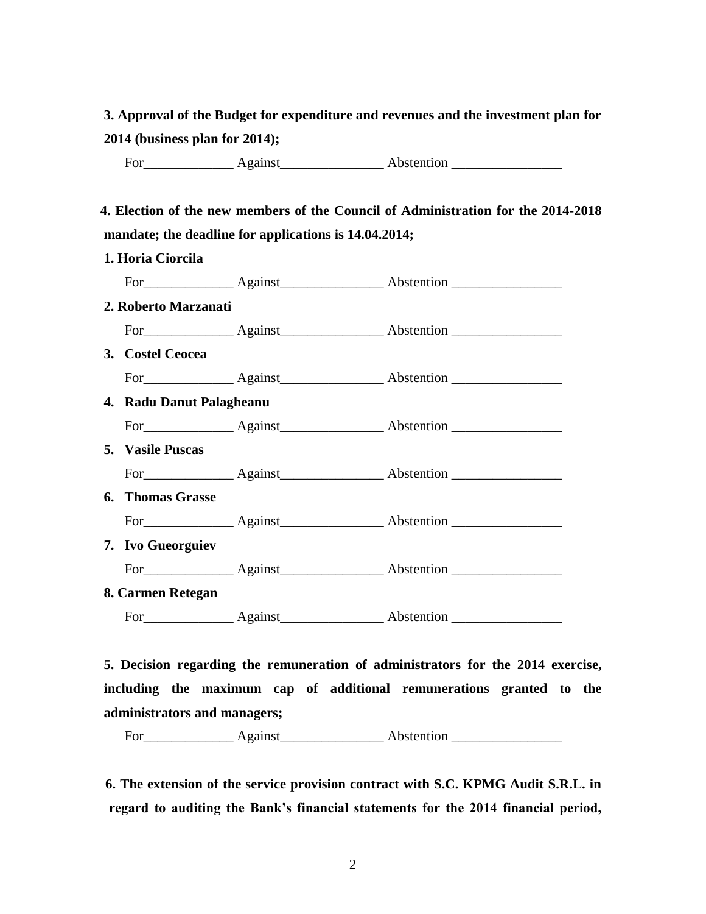**3. Approval of the Budget for expenditure and revenues and the investment plan for 2014 (business plan for 2014);** 

For Against Abstention **Abstention** 

# **4. Election of the new members of the Council of Administration for the 2014-2018 mandate; the deadline for applications is 14.04.2014;**

| 1. Horia Ciorcila        |                         |                                |  |  |
|--------------------------|-------------------------|--------------------------------|--|--|
|                          |                         |                                |  |  |
| 2. Roberto Marzanati     |                         |                                |  |  |
|                          |                         |                                |  |  |
| 3. Costel Ceocea         |                         |                                |  |  |
|                          |                         |                                |  |  |
| 4. Radu Danut Palagheanu |                         |                                |  |  |
|                          |                         |                                |  |  |
| 5. Vasile Puscas         |                         |                                |  |  |
|                          |                         |                                |  |  |
|                          |                         |                                |  |  |
|                          |                         |                                |  |  |
| 7. Ivo Gueorguiev        |                         |                                |  |  |
|                          |                         |                                |  |  |
| 8. Carmen Retegan        |                         |                                |  |  |
|                          |                         |                                |  |  |
|                          | <b>6.</b> Thomas Grasse | For Against Against Abstention |  |  |

**5. Decision regarding the remuneration of administrators for the 2014 exercise, including the maximum cap of additional remunerations granted to the administrators and managers;**

For\_\_\_\_\_\_\_\_\_\_\_\_\_ Against\_\_\_\_\_\_\_\_\_\_\_\_\_\_\_ Abstention \_\_\_\_\_\_\_\_\_\_\_\_\_\_\_\_

 **6. The extension of the service provision contract with S.C. KPMG Audit S.R.L. in regard to auditing the Bank's financial statements for the 2014 financial period,**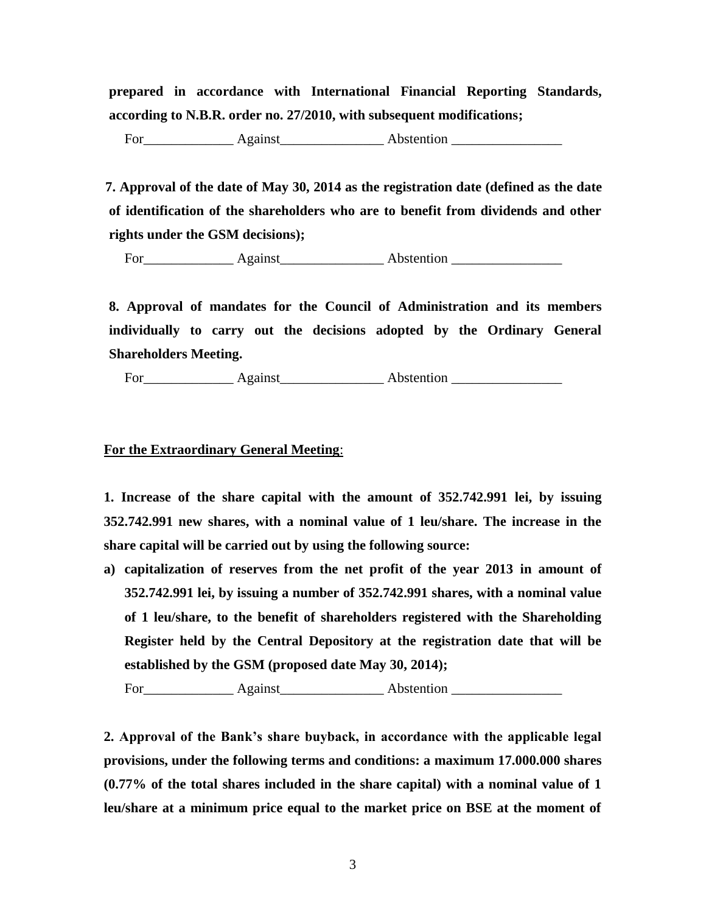**prepared in accordance with International Financial Reporting Standards, according to N.B.R. order no. 27/2010, with subsequent modifications;**

For\_\_\_\_\_\_\_\_\_\_\_\_\_ Against\_\_\_\_\_\_\_\_\_\_\_\_\_\_\_ Abstention \_\_\_\_\_\_\_\_\_\_\_\_\_\_\_\_

 **7. Approval of the date of May 30, 2014 as the registration date (defined as the date of identification of the shareholders who are to benefit from dividends and other rights under the GSM decisions);**

For\_\_\_\_\_\_\_\_\_\_\_\_\_ Against\_\_\_\_\_\_\_\_\_\_\_\_\_\_\_ Abstention \_\_\_\_\_\_\_\_\_\_\_\_\_\_\_\_

**8. Approval of mandates for the Council of Administration and its members individually to carry out the decisions adopted by the Ordinary General Shareholders Meeting.**

For\_\_\_\_\_\_\_\_\_\_\_\_\_ Against\_\_\_\_\_\_\_\_\_\_\_\_\_\_\_ Abstention \_\_\_\_\_\_\_\_\_\_\_\_\_\_\_\_

**For the Extraordinary General Meeting**:

**1. Increase of the share capital with the amount of 352.742.991 lei, by issuing 352.742.991 new shares, with a nominal value of 1 leu/share. The increase in the share capital will be carried out by using the following source:**

**a) capitalization of reserves from the net profit of the year 2013 in amount of 352.742.991 lei, by issuing a number of 352.742.991 shares, with a nominal value of 1 leu/share, to the benefit of shareholders registered with the Shareholding Register held by the Central Depository at the registration date that will be established by the GSM (proposed date May 30, 2014);** 

For\_\_\_\_\_\_\_\_\_\_\_\_\_ Against\_\_\_\_\_\_\_\_\_\_\_\_\_\_\_ Abstention \_\_\_\_\_\_\_\_\_\_\_\_\_\_\_\_

**2. Approval of the Bank's share buyback, in accordance with the applicable legal provisions, under the following terms and conditions: a maximum 17.000.000 shares (0.77% of the total shares included in the share capital) with a nominal value of 1 leu/share at a minimum price equal to the market price on BSE at the moment of**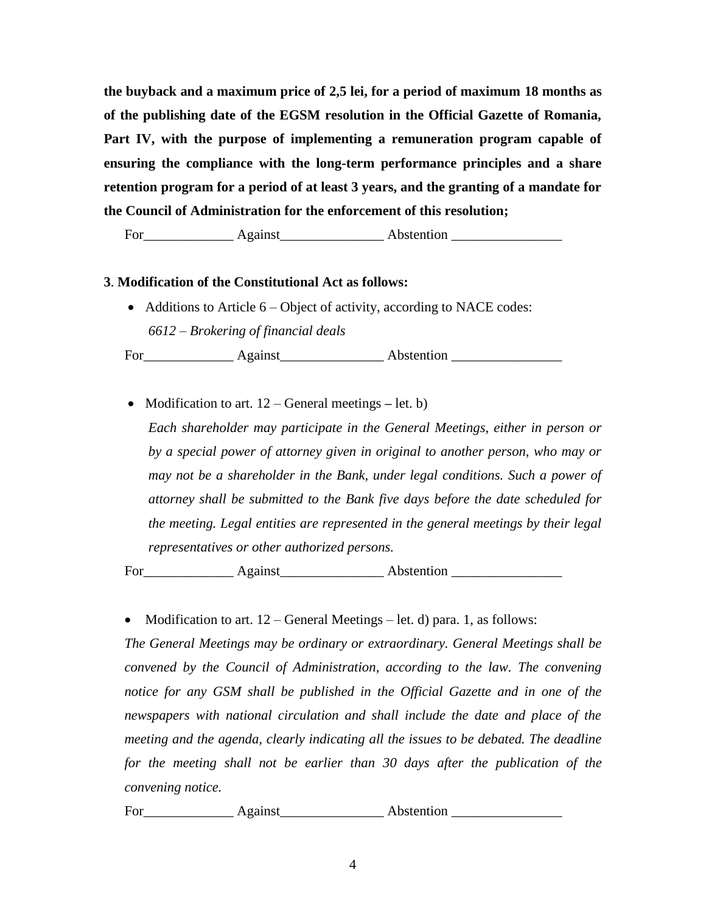**the buyback and a maximum price of 2,5 lei, for a period of maximum 18 months as of the publishing date of the EGSM resolution in the Official Gazette of Romania, Part IV, with the purpose of implementing a remuneration program capable of ensuring the compliance with the long-term performance principles and a share retention program for a period of at least 3 years, and the granting of a mandate for the Council of Administration for the enforcement of this resolution;**

For\_\_\_\_\_\_\_\_\_\_\_\_\_ Against\_\_\_\_\_\_\_\_\_\_\_\_\_\_\_ Abstention \_\_\_\_\_\_\_\_\_\_\_\_\_\_\_\_

### **3**. **Modification of the Constitutional Act as follows:**

• Additions to Article 6 – Object of activity, according to NACE codes: *6612 – Brokering of financial deals*

For\_\_\_\_\_\_\_\_\_\_\_\_\_ Against\_\_\_\_\_\_\_\_\_\_\_\_\_\_\_ Abstention \_\_\_\_\_\_\_\_\_\_\_\_\_\_\_\_

• Modification to art.  $12$  – General meetings – let. b) *Each shareholder may participate in the General Meetings, either in person or by a special power of attorney given in original to another person, who may or may not be a shareholder in the Bank, under legal conditions. Such a power of attorney shall be submitted to the Bank five days before the date scheduled for the meeting. Legal entities are represented in the general meetings by their legal representatives or other authorized persons.*

For\_\_\_\_\_\_\_\_\_\_\_\_\_ Against\_\_\_\_\_\_\_\_\_\_\_\_\_\_\_ Abstention \_\_\_\_\_\_\_\_\_\_\_\_\_\_\_\_

• Modification to art.  $12$  – General Meetings – let. d) para. 1, as follows:

*The General Meetings may be ordinary or extraordinary. General Meetings shall be convened by the Council of Administration, according to the law. The convening notice for any GSM shall be published in the Official Gazette and in one of the newspapers with national circulation and shall include the date and place of the meeting and the agenda, clearly indicating all the issues to be debated. The deadline for the meeting shall not be earlier than 30 days after the publication of the convening notice.*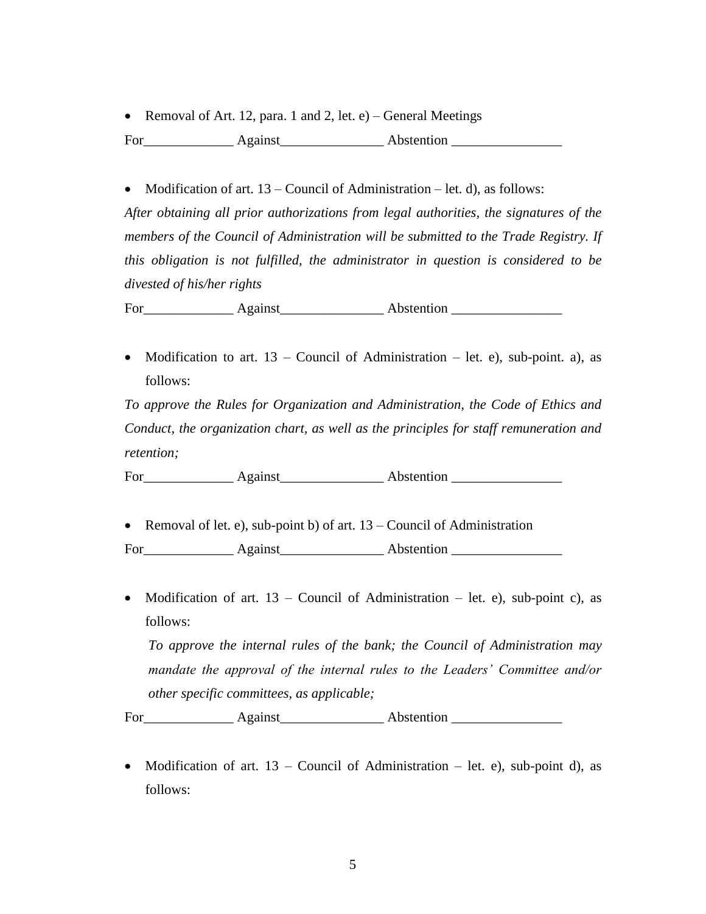• Removal of Art. 12, para. 1 and 2, let.  $e$ ) – General Meetings

For Against Abstention

• Modification of art.  $13 -$ Council of Administration – let. d), as follows: *After obtaining all prior authorizations from legal authorities, the signatures of the members of the Council of Administration will be submitted to the Trade Registry. If this obligation is not fulfilled, the administrator in question is considered to be divested of his/her rights*

For Against Abstention **Abstention** 

• Modification to art.  $13$  – Council of Administration – let. e), sub-point. a), as follows:

*To approve the Rules for Organization and Administration, the Code of Ethics and Conduct, the organization chart, as well as the principles for staff remuneration and retention;*

For Against Abstention **Abstention** 

• Removal of let. e), sub-point b) of art.  $13$  – Council of Administration

For\_\_\_\_\_\_\_\_\_\_\_\_\_ Against\_\_\_\_\_\_\_\_\_\_\_\_\_\_\_ Abstention \_\_\_\_\_\_\_\_\_\_\_\_\_\_\_\_

• Modification of art.  $13$  – Council of Administration – let. e), sub-point c), as follows:

*To approve the internal rules of the bank; the Council of Administration may mandate the approval of the internal rules to the Leaders' Committee and/or other specific committees, as applicable;*

For\_\_\_\_\_\_\_\_\_\_\_\_\_ Against\_\_\_\_\_\_\_\_\_\_\_\_\_\_\_ Abstention \_\_\_\_\_\_\_\_\_\_\_\_\_\_\_\_

• Modification of art.  $13$  – Council of Administration – let. e), sub-point d), as follows: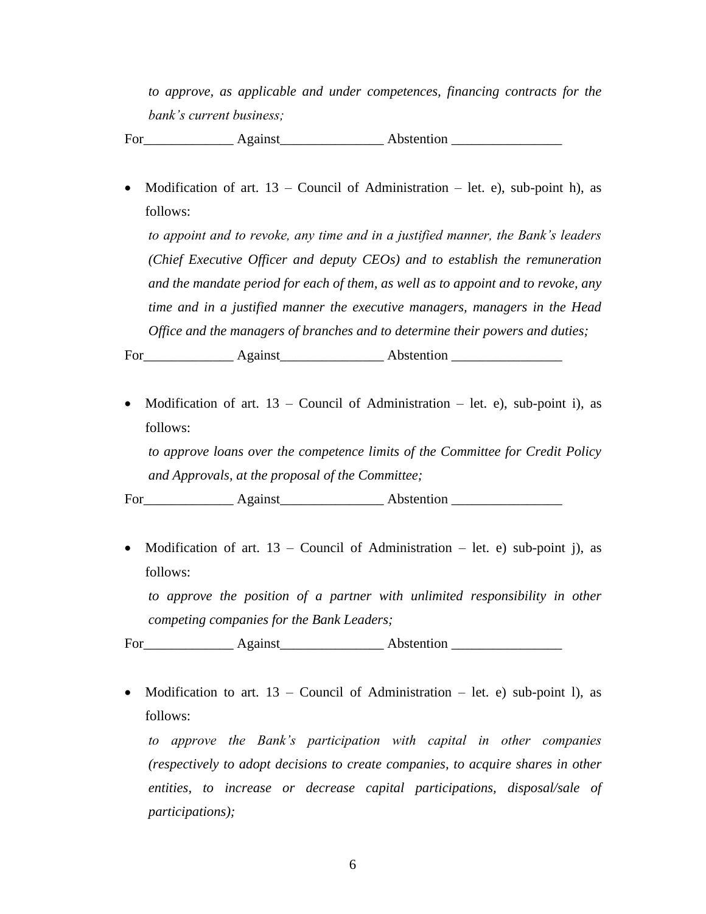*to approve, as applicable and under competences, financing contracts for the bank's current business;*

For\_\_\_\_\_\_\_\_\_\_\_\_\_ Against\_\_\_\_\_\_\_\_\_\_\_\_\_\_\_ Abstention \_\_\_\_\_\_\_\_\_\_\_\_\_\_\_\_

• Modification of art.  $13$  – Council of Administration – let. e), sub-point h), as follows:

*to appoint and to revoke, any time and in a justified manner, the Bank's leaders (Chief Executive Officer and deputy CEOs) and to establish the remuneration and the mandate period for each of them, as well as to appoint and to revoke, any time and in a justified manner the executive managers, managers in the Head Office and the managers of branches and to determine their powers and duties;*

For\_\_\_\_\_\_\_\_\_\_\_\_\_ Against\_\_\_\_\_\_\_\_\_\_\_\_\_\_\_ Abstention \_\_\_\_\_\_\_\_\_\_\_\_\_\_\_\_

• Modification of art.  $13$  – Council of Administration – let. e), sub-point i), as follows:

*to approve loans over the competence limits of the Committee for Credit Policy and Approvals, at the proposal of the Committee;*

For\_\_\_\_\_\_\_\_\_\_\_\_\_ Against\_\_\_\_\_\_\_\_\_\_\_\_\_\_\_ Abstention \_\_\_\_\_\_\_\_\_\_\_\_\_\_\_\_

• Modification of art.  $13$  – Council of Administration – let. e) sub-point j), as follows:

to approve the position of a partner with unlimited responsibility in other *competing companies for the Bank Leaders;*

For\_\_\_\_\_\_\_\_\_\_\_\_\_ Against\_\_\_\_\_\_\_\_\_\_\_\_\_\_\_ Abstention \_\_\_\_\_\_\_\_\_\_\_\_\_\_\_\_

• Modification to art.  $13$  – Council of Administration – let. e) sub-point 1), as follows:

*to approve the Bank's participation with capital in other companies (respectively to adopt decisions to create companies, to acquire shares in other entities, to increase or decrease capital participations, disposal/sale of participations);*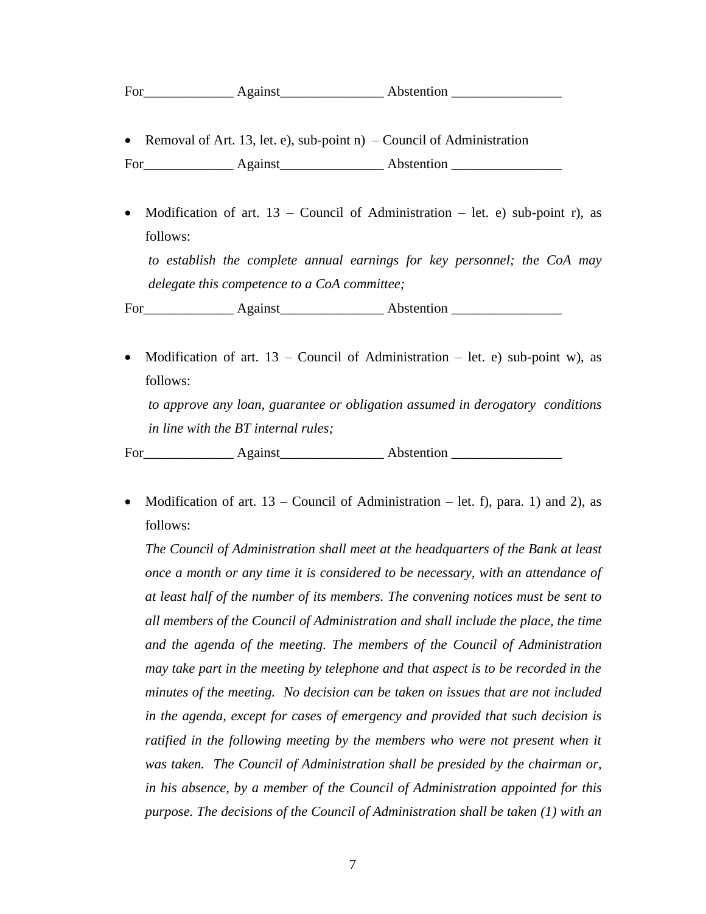| $\overline{\phantom{0}}$<br>For | 0.0100 | Abstention |
|---------------------------------|--------|------------|
|---------------------------------|--------|------------|

• Removal of Art. 13, let. e), sub-point  $n$ ) – Council of Administration

For\_\_\_\_\_\_\_\_\_\_\_\_\_ Against\_\_\_\_\_\_\_\_\_\_\_\_\_\_\_ Abstention \_\_\_\_\_\_\_\_\_\_\_\_\_\_\_\_

- Modification of art.  $13$  Council of Administration let. e) sub-point r), as follows: *to establish the complete annual earnings for key personnel; the CoA may delegate this competence to a CoA committee;* For Against Abstention **Abstention**
- Modification of art.  $13$  Council of Administration let. e) sub-point w), as follows:

*to approve any loan, guarantee or obligation assumed in derogatory conditions in line with the BT internal rules;*

For\_\_\_\_\_\_\_\_\_\_\_\_\_ Against\_\_\_\_\_\_\_\_\_\_\_\_\_\_\_ Abstention \_\_\_\_\_\_\_\_\_\_\_\_\_\_\_\_

• Modification of art.  $13$  – Council of Administration – let. f), para. 1) and 2), as follows:

*The Council of Administration shall meet at the headquarters of the Bank at least once a month or any time it is considered to be necessary, with an attendance of at least half of the number of its members. The convening notices must be sent to all members of the Council of Administration and shall include the place, the time and the agenda of the meeting. The members of the Council of Administration may take part in the meeting by telephone and that aspect is to be recorded in the minutes of the meeting. No decision can be taken on issues that are not included in the agenda, except for cases of emergency and provided that such decision is ratified in the following meeting by the members who were not present when it was taken. The Council of Administration shall be presided by the chairman or, in his absence, by a member of the Council of Administration appointed for this purpose. The decisions of the Council of Administration shall be taken (1) with an*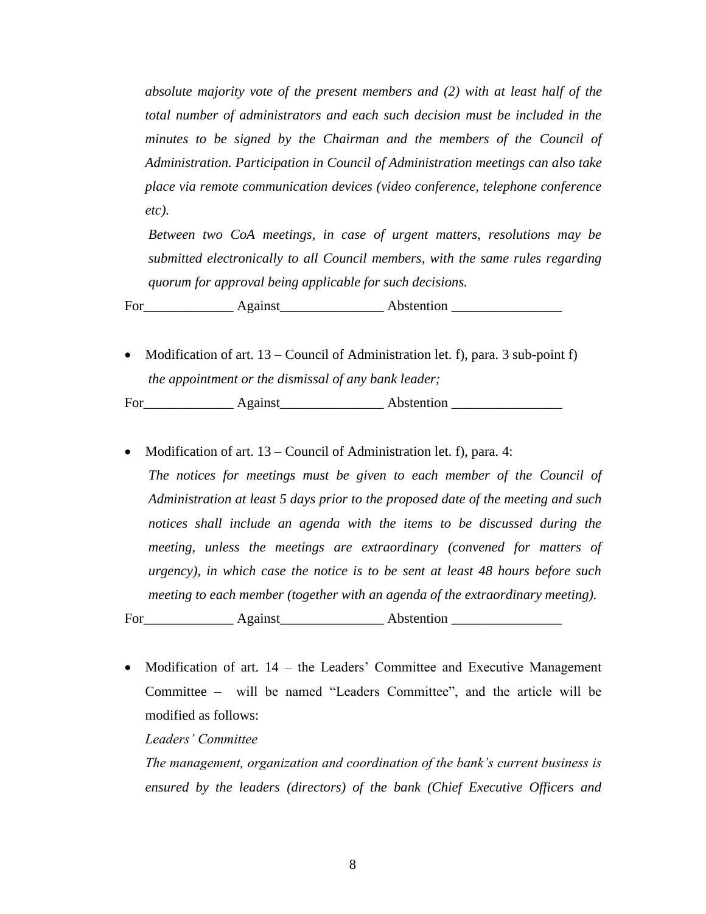*absolute majority vote of the present members and (2) with at least half of the total number of administrators and each such decision must be included in the minutes to be signed by the Chairman and the members of the Council of Administration. Participation in Council of Administration meetings can also take place via remote communication devices (video conference, telephone conference etc).* 

*Between two CoA meetings, in case of urgent matters, resolutions may be submitted electronically to all Council members, with the same rules regarding quorum for approval being applicable for such decisions.*

For\_\_\_\_\_\_\_\_\_\_\_\_\_ Against\_\_\_\_\_\_\_\_\_\_\_\_\_\_\_ Abstention \_\_\_\_\_\_\_\_\_\_\_\_\_\_\_\_

• Modification of art.  $13$  – Council of Administration let. f), para. 3 sub-point f) *the appointment or the dismissal of any bank leader;*

For Against Abstention **Abstention** 

• Modification of art.  $13$  – Council of Administration let. f), para. 4: *The notices for meetings must be given to each member of the Council of Administration at least 5 days prior to the proposed date of the meeting and such notices shall include an agenda with the items to be discussed during the meeting, unless the meetings are extraordinary (convened for matters of urgency), in which case the notice is to be sent at least 48 hours before such meeting to each member (together with an agenda of the extraordinary meeting).*

For\_\_\_\_\_\_\_\_\_\_\_\_\_ Against\_\_\_\_\_\_\_\_\_\_\_\_\_\_\_ Abstention \_\_\_\_\_\_\_\_\_\_\_\_\_\_\_\_

• Modification of art.  $14$  – the Leaders' Committee and Executive Management Committee – will be named "Leaders Committee", and the article will be modified as follows:

*Leaders' Committee*

*The management, organization and coordination of the bank's current business is ensured by the leaders (directors) of the bank (Chief Executive Officers and*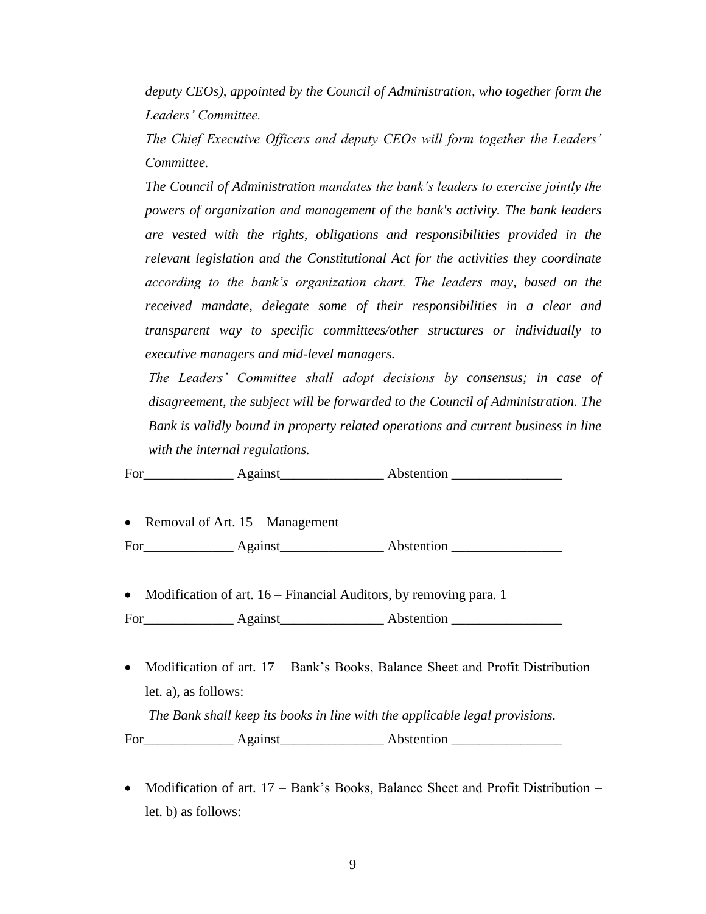*deputy CEOs), appointed by the Council of Administration, who together form the Leaders' Committee.* 

*The Chief Executive Officers and deputy CEOs will form together the Leaders' Committee.* 

*The Council of Administration mandates the bank's leaders to exercise jointly the powers of organization and management of the bank's activity. The bank leaders are vested with the rights, obligations and responsibilities provided in the relevant legislation and the Constitutional Act for the activities they coordinate according to the bank's organization chart. The leaders may, based on the received mandate, delegate some of their responsibilities in a clear and transparent way to specific committees/other structures or individually to executive managers and mid-level managers.*

*The Leaders' Committee shall adopt decisions by consensus; in case of disagreement, the subject will be forwarded to the Council of Administration. The Bank is validly bound in property related operations and current business in line with the internal regulations.*

For\_\_\_\_\_\_\_\_\_\_\_\_\_ Against\_\_\_\_\_\_\_\_\_\_\_\_\_\_\_ Abstention \_\_\_\_\_\_\_\_\_\_\_\_\_\_\_\_

• Removal of Art. 15 – Management

For\_\_\_\_\_\_\_\_\_\_\_\_\_ Against\_\_\_\_\_\_\_\_\_\_\_\_\_\_\_ Abstention \_\_\_\_\_\_\_\_\_\_\_\_\_\_\_\_

• Modification of art. 16 – Financial Auditors, by removing para. 1

- Modification of art.  $17 Bank's$  Books, Balance Sheet and Profit Distribution let. a), as follows: *The Bank shall keep its books in line with the applicable legal provisions.* For Against Abstention
- Modification of art.  $17 Bank's$  Books, Balance Sheet and Profit Distribution let. b) as follows: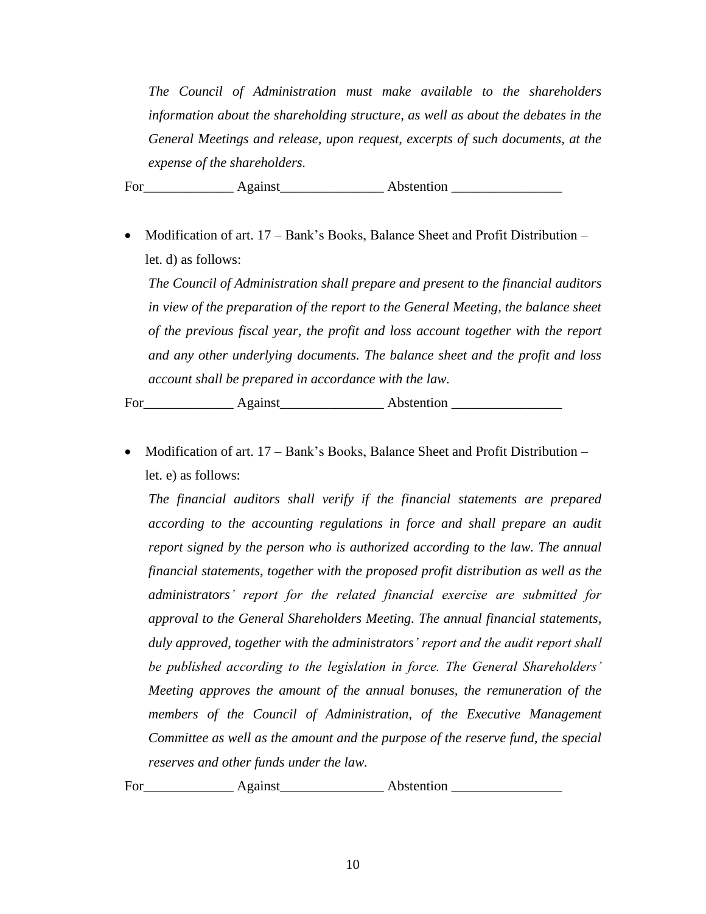*The Council of Administration must make available to the shareholders information about the shareholding structure, as well as about the debates in the General Meetings and release, upon request, excerpts of such documents, at the expense of the shareholders.*

For\_\_\_\_\_\_\_\_\_\_\_\_\_ Against\_\_\_\_\_\_\_\_\_\_\_\_\_\_\_ Abstention \_\_\_\_\_\_\_\_\_\_\_\_\_\_\_\_

• Modification of art.  $17 - Bank's Books$ , Balance Sheet and Profit Distribution – let. d) as follows:

*The Council of Administration shall prepare and present to the financial auditors in view of the preparation of the report to the General Meeting, the balance sheet of the previous fiscal year, the profit and loss account together with the report and any other underlying documents. The balance sheet and the profit and loss account shall be prepared in accordance with the law.*

For Against Abstention **Abstention** 

• Modification of art.  $17 - Bank's Books$ , Balance Sheet and Profit Distribution – let. e) as follows:

*The financial auditors shall verify if the financial statements are prepared according to the accounting regulations in force and shall prepare an audit report signed by the person who is authorized according to the law. The annual financial statements, together with the proposed profit distribution as well as the administrators' report for the related financial exercise are submitted for approval to the General Shareholders Meeting. The annual financial statements, duly approved, together with the administrators' report and the audit report shall be published according to the legislation in force. The General Shareholders' Meeting approves the amount of the annual bonuses, the remuneration of the members of the Council of Administration, of the Executive Management Committee as well as the amount and the purpose of the reserve fund, the special reserves and other funds under the law.*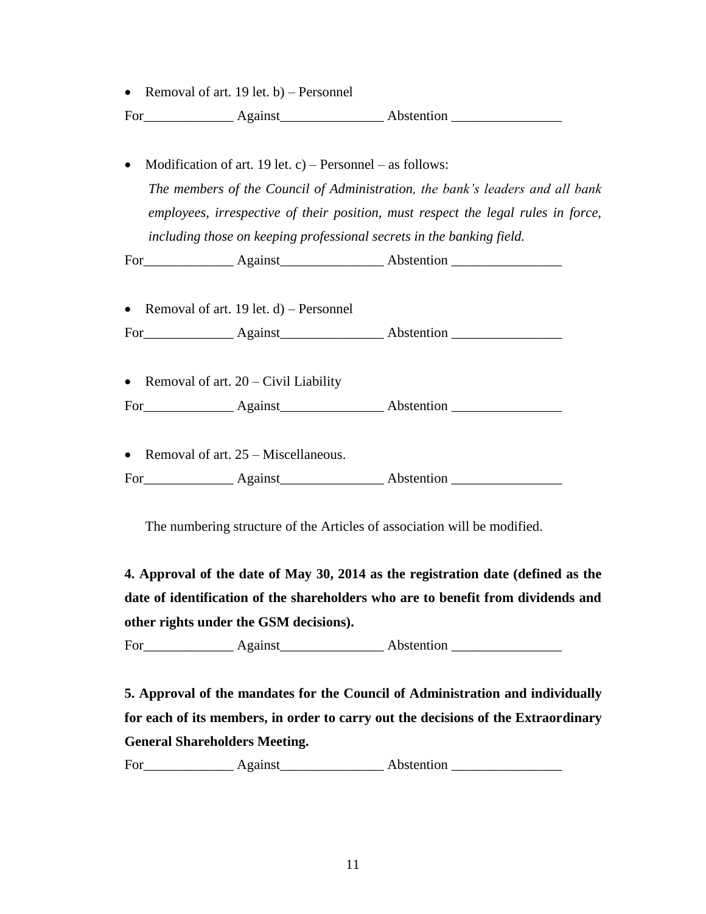• Removal of art. 19 let. b) – Personnel

For Against Abstention

• Modification of art. 19 let. c) – Personnel – as follows: *The members of the Council of Administration, the bank's leaders and all bank employees, irrespective of their position, must respect the legal rules in force, including those on keeping professional secrets in the banking field.*

For\_\_\_\_\_\_\_\_\_\_\_\_\_ Against\_\_\_\_\_\_\_\_\_\_\_\_\_\_\_ Abstention \_\_\_\_\_\_\_\_\_\_\_\_\_\_\_\_

| • Removal of art. 19 let. $d$ ) – Personnel |  |  |  |  |
|---------------------------------------------|--|--|--|--|
| Abstention<br>Against<br>For                |  |  |  |  |
|                                             |  |  |  |  |
| • Removal of art. $20 - Civil$ Liability    |  |  |  |  |

For\_\_\_\_\_\_\_\_\_\_\_\_\_ Against\_\_\_\_\_\_\_\_\_\_\_\_\_\_\_ Abstention \_\_\_\_\_\_\_\_\_\_\_\_\_\_\_\_

• Removal of art. 25 – Miscellaneous.

For\_\_\_\_\_\_\_\_\_\_\_\_\_ Against\_\_\_\_\_\_\_\_\_\_\_\_\_\_\_ Abstention \_\_\_\_\_\_\_\_\_\_\_\_\_\_\_\_

The numbering structure of the Articles of association will be modified.

**4. Approval of the date of May 30, 2014 as the registration date (defined as the date of identification of the shareholders who are to benefit from dividends and other rights under the GSM decisions).**

For\_\_\_\_\_\_\_\_\_\_\_\_\_ Against\_\_\_\_\_\_\_\_\_\_\_\_\_\_\_ Abstention \_\_\_\_\_\_\_\_\_\_\_\_\_\_\_\_

**5. Approval of the mandates for the Council of Administration and individually for each of its members, in order to carry out the decisions of the Extraordinary General Shareholders Meeting.**